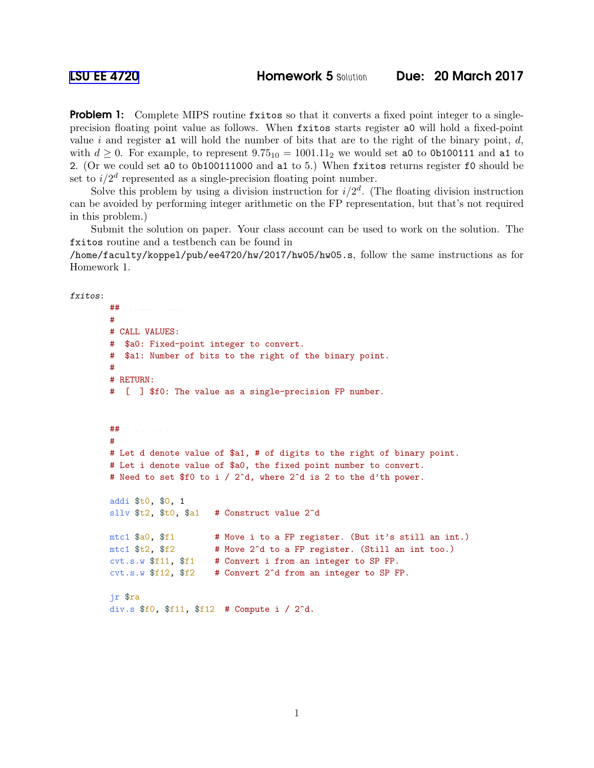**Problem 1:** Complete MIPS routine fxitos so that it converts a fixed point integer to a singleprecision floating point value as follows. When fxitos starts register a0 will hold a fixed-point value i and register at will hold the number of bits that are to the right of the binary point,  $d$ , with  $d \geq 0$ . For example, to represent  $9.75_{10} = 1001.11_2$  we would set a0 to 0b100111 and a1 to 2. (Or we could set a0 to 0b100111000 and a1 to 5.) When fxitos returns register f0 should be set to  $i/2<sup>d</sup>$  represented as a single-precision floating point number.

Solve this problem by using a division instruction for  $i/2^d$ . (The floating division instruction can be avoided by performing integer arithmetic on the FP representation, but that's not required in this problem.)

Submit the solution on paper. Your class account can be used to work on the solution. The fxitos routine and a testbench can be found in

/home/faculty/koppel/pub/ee4720/hw/2017/hw05/hw05.s, follow the same instructions as for Homework 1.

fxitos:

```
## R e g i s t e r U s a g e
#
# CALL VALUES:
# $a0: Fixed-point integer to convert.
# $a1: Number of bits to the right of the binary point.
#
# RETURN:
# [ ] $f0: The value as a single-precision FP number.
## S O L U T I O N
#
# Let d denote value of $a1, # of digits to the right of binary point.
# Let i denote value of $a0, the fixed point number to convert.
# Need to set $f0 to i / 2<sup>o</sup>d, where 2<sup>o</sup>d is 2 to the d'th power.
addi $t0, $0, 1
sllv t_2, t_0, t_1 t_2 t_1 t_2 t_3mtc1 $a0, $f1 # Move i to a FP register. (But it's still an int.)
mtc1 $t2, $f2 # Move 2<sup>o</sup>d to a FP register. (Still an int too.)
cvt.s.w $f11, $f1 # Convert i from an integer to SP FP.
cvt.s.w $f12, $f2 # Convert 2^d from an integer to SP FP.
jr $ra
div.s $f0, $f11, $f12 # Compute i / 2^d.
```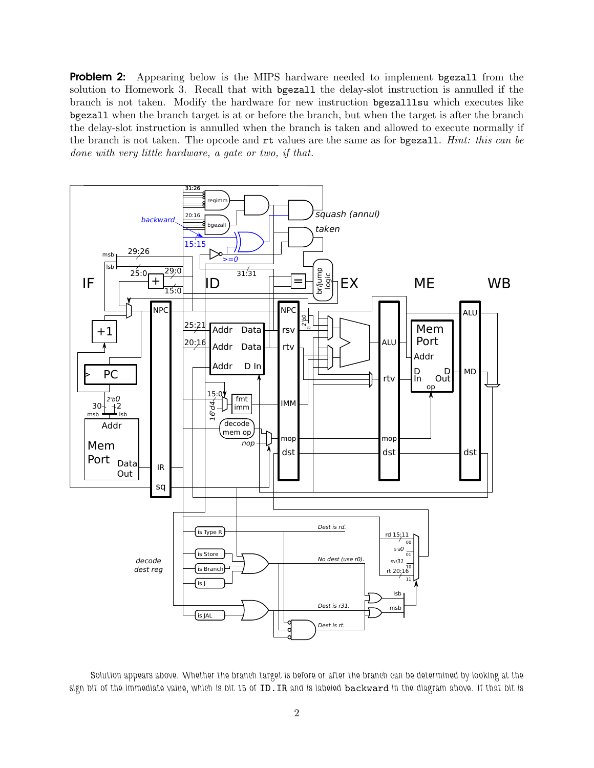**Problem 2:** Appearing below is the MIPS hardware needed to implement bgezall from the solution to Homework 3. Recall that with bgezall the delay-slot instruction is annulled if the branch is not taken. Modify the hardware for new instruction bgezalllsu which executes like bgezall when the branch target is at or before the branch, but when the target is after the branch the delay-slot instruction is annulled when the branch is taken and allowed to execute normally if the branch is not taken. The opcode and rt values are the same as for bgezall. *Hint: this can be done with very little hardware, a gate or two, if that.*



*Solution appears above. Whether the branch target is before or after the branch can be determined by looking at the sign bit of the immediate value, which is bit 15 of* ID.IR *and is labeled* backward *in the diagram above. If that bit is*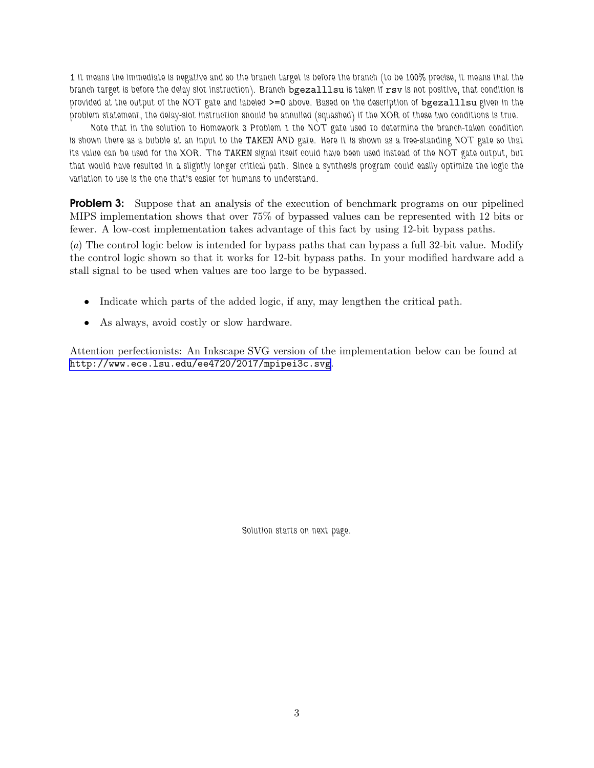1 *it means the immediate is negative and so the branch target is before the branch (to be 100% precise, it means that the branch target is before the delay slot instruction). Branch* bgezalllsu *is taken if* rsv *is not positive, that condition is provided at the output of the NOT gate and labeled* >=0 *above. Based on the description of* bgezalllsu *given in the problem statement, the delay-slot instruction should be annulled (squashed) if the XOR of these two conditions is true.*

*Note that in the solution to Homework 3 Problem 1 the NOT gate used to determine the branch-taken condition is shown there as a bubble at an input to the* TAKEN *AND gate. Here it is shown as a free-standing NOT gate so that its value can be used for the XOR. The* TAKEN *signal itself could have been used instead of the NOT gate output, but that would have resulted in a slightly longer critical path. Since a synthesis program could easily optimize the logic the variation to use is the one that's easier for humans to understand.*

**Problem 3:** Suppose that an analysis of the execution of benchmark programs on our pipelined MIPS implementation shows that over 75% of bypassed values can be represented with 12 bits or fewer. A low-cost implementation takes advantage of this fact by using 12-bit bypass paths.

(*a*) The control logic below is intended for bypass paths that can bypass a full 32-bit value. Modify the control logic shown so that it works for 12-bit bypass paths. In your modified hardware add a stall signal to be used when values are too large to be bypassed.

- Indicate which parts of the added logic, if any, may lengthen the critical path.
- As always, avoid costly or slow hardware.

Attention perfectionists: An Inkscape SVG version of the implementation below can be found at <http://www.ece.lsu.edu/ee4720/2017/mpipei3c.svg>.

*Solution starts on next page.*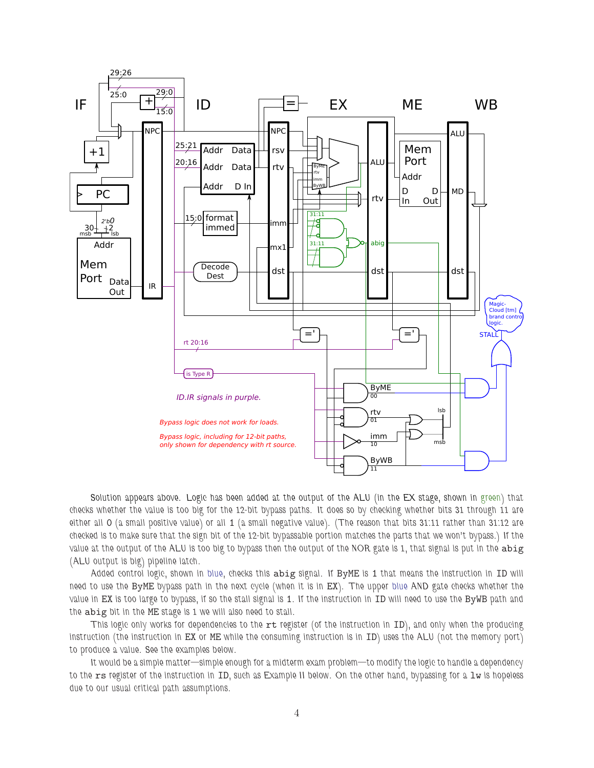

*Solution appears above. Logic has been added at the output of the ALU (in the EX stage, shown in green) that checks whether the value is too big for the 12-bit bypass paths. It does so by checking whether bits 31 through 11 are either all* 0 *(a small positive value) or all* 1 *(a small negative value). (The reason that bits 31:11 rather than 31:12 are checked is to make sure that the sign bit of the 12-bit bypassable portion matches the parts that we won't bypass.) If the* value at the output of the ALU is too big to bypass then the output of the NOR gate is 1, that signal is put in the abig *(ALU output is big) pipeline latch.*

*Added control logic, shown in blue, checks this* abig *signal. If* ByME *is* 1 *that means the instruction in* ID *will need to use the* ByME *bypass path in the next cycle (when it is in* EX*). The upper blue AND gate checks whether the value in* EX *is too large to bypass, if so the stall signal is* 1*. If the instruction in* ID *will need to use the* ByWB *path and the* abig *bit in the* ME *stage is 1 we will also need to stall.*

*This logic only works for dependencies to the* rt *register (of the instruction in ID)*, and only when the producing *instruction (the instruction in* EX *or* ME *while the consuming instruction is in* ID*) uses the ALU (not the memory port) to produce a value. See the examples below.*

*It would be a simple matter—simple enough for a midterm exam problem—to modify the logic to handle a dependency to the* rs *register of the instruction in* ID*, such as Example II below. On the other hand, bypassing for a* lw *is hopeless due to our usual critical path assumptions.*